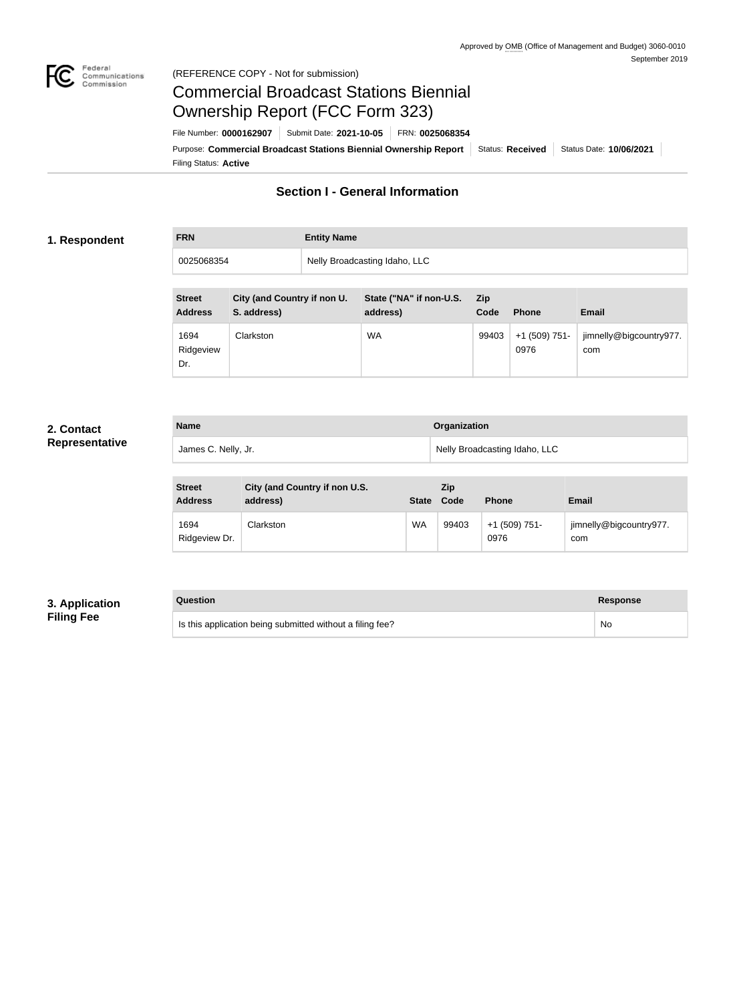

## Federal<br>Communications<br>Commission (REFERENCE COPY - Not for submission)

# Commercial Broadcast Stations Biennial Ownership Report (FCC Form 323)

Filing Status: **Active** Purpose: Commercial Broadcast Stations Biennial Ownership Report Status: Received | Status Date: 10/06/2021 File Number: **0000162907** Submit Date: **2021-10-05** FRN: **0025068354**

# **Section I - General Information**

## **1. Respondent**

| <b>FRN</b> | <b>Entity Name</b>            |
|------------|-------------------------------|
| 0025068354 | Nelly Broadcasting Idaho, LLC |

| <b>Street</b><br><b>Address</b> | City (and Country if non U.<br>S. address) | State ("NA" if non-U.S.<br>address) | Zip.<br>Code | <b>Phone</b>            | <b>Email</b>                   |
|---------------------------------|--------------------------------------------|-------------------------------------|--------------|-------------------------|--------------------------------|
| 1694<br>Ridgeview<br>Dr.        | Clarkston                                  | WA                                  | 99403        | $+1$ (509) 751-<br>0976 | jimnelly@bigcountry977.<br>com |

# **2. Contact Representative**

| <b>Name</b>         | Organization                  |
|---------------------|-------------------------------|
| James C. Nelly, Jr. | Nelly Broadcasting Idaho, LLC |

| <b>Street</b><br><b>Address</b> | City (and Country if non U.S.<br>address) | <b>State</b> | Zip<br>Code | <b>Phone</b>            | <b>Email</b>                   |
|---------------------------------|-------------------------------------------|--------------|-------------|-------------------------|--------------------------------|
| 1694<br>Ridgeview Dr.           | Clarkston                                 | <b>WA</b>    | 99403       | $+1$ (509) 751-<br>0976 | jimnelly@bigcountry977.<br>com |

# **3. Application Filing Fee**

# **Question Response**

Is this application being submitted without a filing fee? No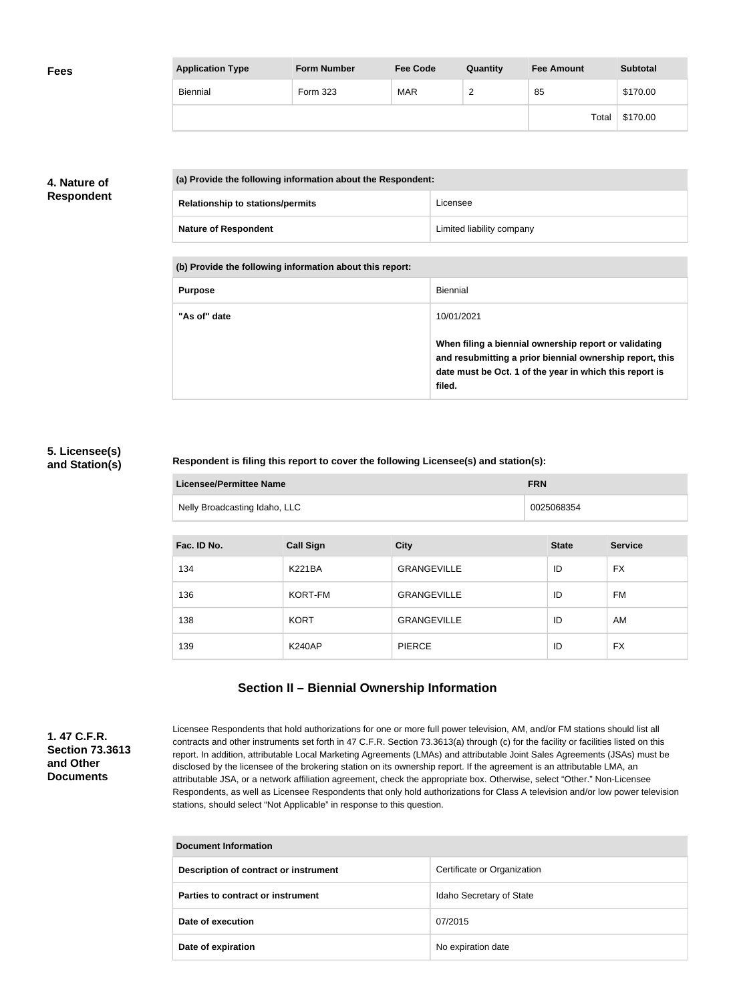| <b>Fees</b> | <b>Application Type</b> | <b>Form Number</b> | <b>Fee Code</b> | Quantity        | <b>Fee Amount</b> | <b>Subtotal</b> |
|-------------|-------------------------|--------------------|-----------------|-----------------|-------------------|-----------------|
|             | Biennial                | Form 323           | <b>MAR</b>      | $\sqrt{2}$<br>_ | 85                | \$170.00        |
|             |                         |                    |                 |                 | Total             | \$170.00        |

# **4. Nature of Respondent**

|  | (a) Provide the following information about the Respondent: |                           |  |
|--|-------------------------------------------------------------|---------------------------|--|
|  | <b>Relationship to stations/permits</b>                     | Licensee                  |  |
|  | <b>Nature of Respondent</b>                                 | Limited liability company |  |

**(b) Provide the following information about this report:**

| <b>Purpose</b> | Biennial                                                                                                                                                                               |
|----------------|----------------------------------------------------------------------------------------------------------------------------------------------------------------------------------------|
| "As of" date   | 10/01/2021                                                                                                                                                                             |
|                | When filing a biennial ownership report or validating<br>and resubmitting a prior biennial ownership report, this<br>date must be Oct. 1 of the year in which this report is<br>filed. |

# **5. Licensee(s) and Station(s)**

## **Respondent is filing this report to cover the following Licensee(s) and station(s):**

| Licensee/Permittee Name       | <b>FRN</b> |
|-------------------------------|------------|
| Nelly Broadcasting Idaho, LLC | 0025068354 |

| Fac. ID No. | <b>Call Sign</b> | <b>City</b>        | <b>State</b> | <b>Service</b> |
|-------------|------------------|--------------------|--------------|----------------|
| 134         | <b>K221BA</b>    | <b>GRANGEVILLE</b> | ID           | <b>FX</b>      |
| 136         | KORT-FM          | <b>GRANGEVILLE</b> | ID           | <b>FM</b>      |
| 138         | <b>KORT</b>      | <b>GRANGEVILLE</b> | ID           | AM             |
| 139         | <b>K240AP</b>    | <b>PIERCE</b>      | ID           | <b>FX</b>      |

# **Section II – Biennial Ownership Information**

**1. 47 C.F.R. Section 73.3613 and Other Documents**

Licensee Respondents that hold authorizations for one or more full power television, AM, and/or FM stations should list all contracts and other instruments set forth in 47 C.F.R. Section 73.3613(a) through (c) for the facility or facilities listed on this report. In addition, attributable Local Marketing Agreements (LMAs) and attributable Joint Sales Agreements (JSAs) must be disclosed by the licensee of the brokering station on its ownership report. If the agreement is an attributable LMA, an attributable JSA, or a network affiliation agreement, check the appropriate box. Otherwise, select "Other." Non-Licensee Respondents, as well as Licensee Respondents that only hold authorizations for Class A television and/or low power television stations, should select "Not Applicable" in response to this question.

| <b>Document Information</b>           |                             |  |
|---------------------------------------|-----------------------------|--|
| Description of contract or instrument | Certificate or Organization |  |
| Parties to contract or instrument     | Idaho Secretary of State    |  |
| Date of execution                     | 07/2015                     |  |
| Date of expiration                    | No expiration date          |  |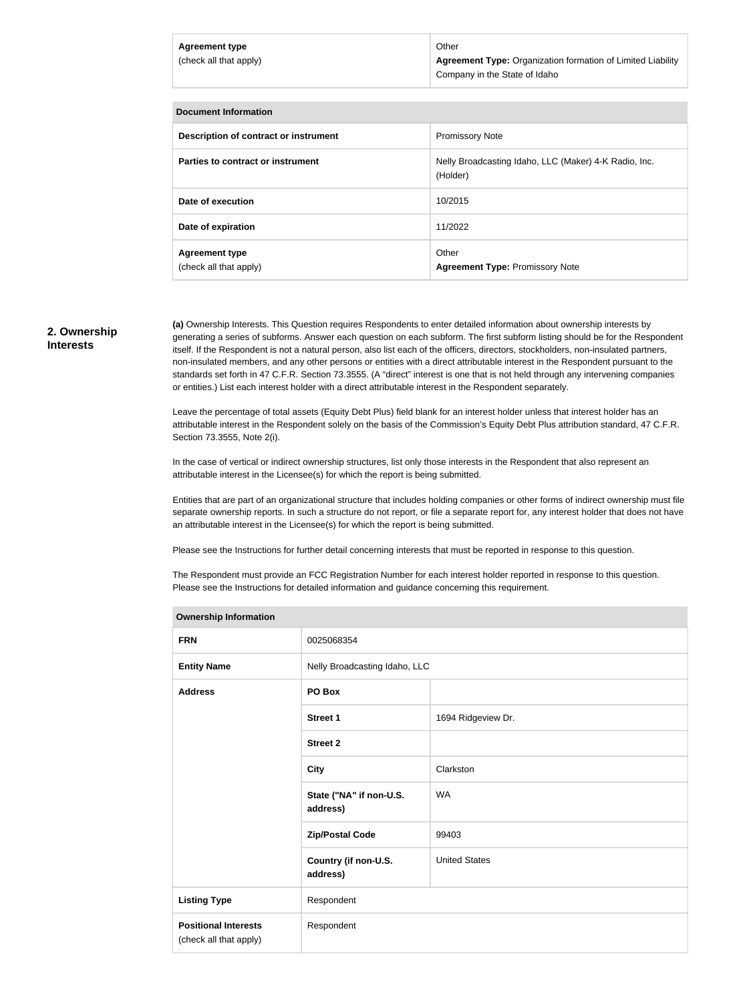#### **Document Information**

| Description of contract or instrument           | <b>Promissory Note</b>                                            |
|-------------------------------------------------|-------------------------------------------------------------------|
| Parties to contract or instrument               | Nelly Broadcasting Idaho, LLC (Maker) 4-K Radio, Inc.<br>(Holder) |
| Date of execution                               | 10/2015                                                           |
| Date of expiration                              | 11/2022                                                           |
| <b>Agreement type</b><br>(check all that apply) | Other<br><b>Agreement Type: Promissory Note</b>                   |

### **2. Ownership Interests**

**(a)** Ownership Interests. This Question requires Respondents to enter detailed information about ownership interests by generating a series of subforms. Answer each question on each subform. The first subform listing should be for the Respondent itself. If the Respondent is not a natural person, also list each of the officers, directors, stockholders, non-insulated partners, non-insulated members, and any other persons or entities with a direct attributable interest in the Respondent pursuant to the standards set forth in 47 C.F.R. Section 73.3555. (A "direct" interest is one that is not held through any intervening companies or entities.) List each interest holder with a direct attributable interest in the Respondent separately.

Leave the percentage of total assets (Equity Debt Plus) field blank for an interest holder unless that interest holder has an attributable interest in the Respondent solely on the basis of the Commission's Equity Debt Plus attribution standard, 47 C.F.R. Section 73.3555, Note 2(i).

In the case of vertical or indirect ownership structures, list only those interests in the Respondent that also represent an attributable interest in the Licensee(s) for which the report is being submitted.

Entities that are part of an organizational structure that includes holding companies or other forms of indirect ownership must file separate ownership reports. In such a structure do not report, or file a separate report for, any interest holder that does not have an attributable interest in the Licensee(s) for which the report is being submitted.

Please see the Instructions for further detail concerning interests that must be reported in response to this question.

The Respondent must provide an FCC Registration Number for each interest holder reported in response to this question. Please see the Instructions for detailed information and guidance concerning this requirement.

| o moranda moranda e                                   |                                     |                      |
|-------------------------------------------------------|-------------------------------------|----------------------|
| <b>FRN</b>                                            | 0025068354                          |                      |
| <b>Entity Name</b>                                    | Nelly Broadcasting Idaho, LLC       |                      |
| <b>Address</b>                                        | PO Box                              |                      |
|                                                       | <b>Street 1</b>                     | 1694 Ridgeview Dr.   |
|                                                       | <b>Street 2</b>                     |                      |
|                                                       | <b>City</b>                         | Clarkston            |
|                                                       | State ("NA" if non-U.S.<br>address) | <b>WA</b>            |
|                                                       | <b>Zip/Postal Code</b>              | 99403                |
|                                                       | Country (if non-U.S.<br>address)    | <b>United States</b> |
| <b>Listing Type</b>                                   | Respondent                          |                      |
| <b>Positional Interests</b><br>(check all that apply) | Respondent                          |                      |
|                                                       |                                     |                      |

#### **Ownership Information**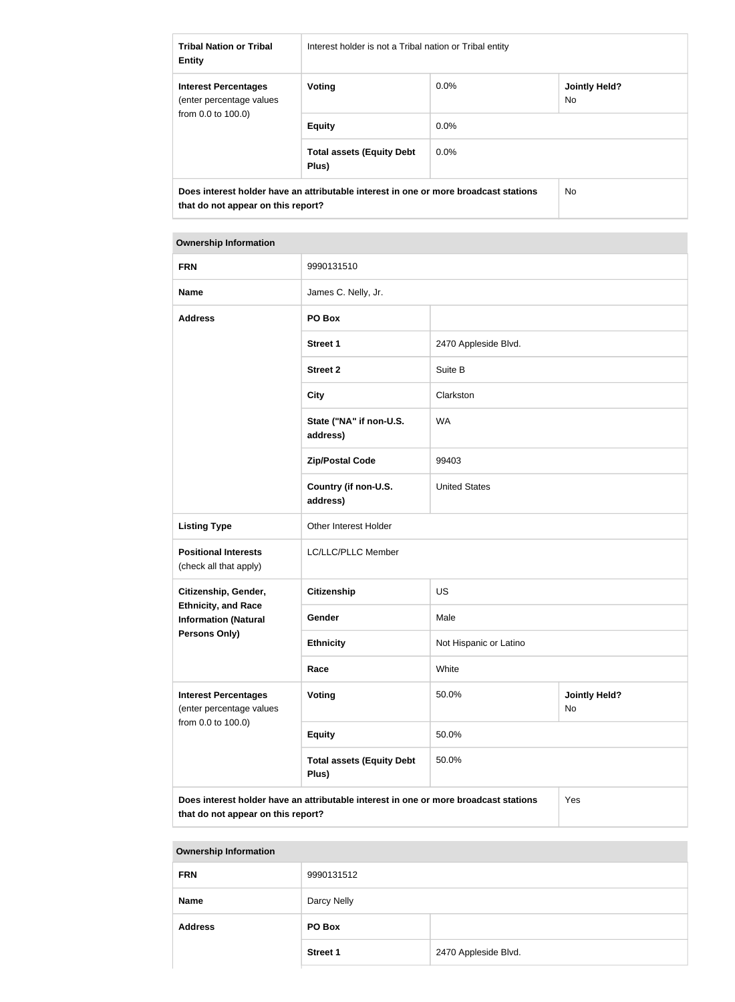| <b>Tribal Nation or Tribal</b><br><b>Entity</b>                                                                            | Interest holder is not a Tribal nation or Tribal entity |                |                             |  |
|----------------------------------------------------------------------------------------------------------------------------|---------------------------------------------------------|----------------|-----------------------------|--|
| <b>Interest Percentages</b><br>(enter percentage values<br>from 0.0 to 100.0)                                              | Voting                                                  | $0.0\%$        | <b>Jointly Held?</b><br>No. |  |
|                                                                                                                            | <b>Equity</b>                                           | $0.0\%$        |                             |  |
|                                                                                                                            | <b>Total assets (Equity Debt</b><br>Plus)               | $0.0\%$        |                             |  |
| Does interest holder have an attributable interest in one or more broadcast stations<br>that do not appear on this report? |                                                         | N <sub>o</sub> |                             |  |

### **Ownership Information**

| <b>FRN</b>                                                                    | 9990131510                                                                                  |                        |                            |  |
|-------------------------------------------------------------------------------|---------------------------------------------------------------------------------------------|------------------------|----------------------------|--|
| <b>Name</b>                                                                   | James C. Nelly, Jr.                                                                         |                        |                            |  |
| <b>Address</b>                                                                | PO Box                                                                                      |                        |                            |  |
|                                                                               | <b>Street 1</b>                                                                             | 2470 Appleside Blvd.   |                            |  |
|                                                                               | <b>Street 2</b>                                                                             | Suite B                |                            |  |
|                                                                               | <b>City</b>                                                                                 | Clarkston              |                            |  |
|                                                                               | State ("NA" if non-U.S.<br>address)                                                         | <b>WA</b>              |                            |  |
|                                                                               | <b>Zip/Postal Code</b>                                                                      | 99403                  |                            |  |
|                                                                               | Country (if non-U.S.<br>address)                                                            | <b>United States</b>   |                            |  |
| <b>Listing Type</b>                                                           | Other Interest Holder                                                                       |                        |                            |  |
| <b>Positional Interests</b><br>(check all that apply)                         | LC/LLC/PLLC Member                                                                          |                        |                            |  |
| Citizenship, Gender,                                                          | <b>Citizenship</b>                                                                          | <b>US</b>              |                            |  |
| <b>Ethnicity, and Race</b><br><b>Information (Natural</b><br>Persons Only)    | Gender                                                                                      | Male                   |                            |  |
|                                                                               | <b>Ethnicity</b>                                                                            | Not Hispanic or Latino |                            |  |
|                                                                               | Race                                                                                        | White                  |                            |  |
| <b>Interest Percentages</b><br>(enter percentage values<br>from 0.0 to 100.0) | <b>Voting</b>                                                                               | 50.0%                  | <b>Jointly Held?</b><br>No |  |
|                                                                               | <b>Equity</b>                                                                               | 50.0%                  |                            |  |
|                                                                               | <b>Total assets (Equity Debt</b><br>Plus)                                                   | 50.0%                  |                            |  |
|                                                                               | Does interest holder have an attributable interest in one or more broadcast stations<br>Yes |                        |                            |  |

**that do not appear on this report?**

#### **Ownership Information**

| <b>FRN</b>     | 9990131512      |                      |
|----------------|-----------------|----------------------|
| <b>Name</b>    | Darcy Nelly     |                      |
| <b>Address</b> | PO Box          |                      |
|                | <b>Street 1</b> | 2470 Appleside Blvd. |
|                |                 |                      |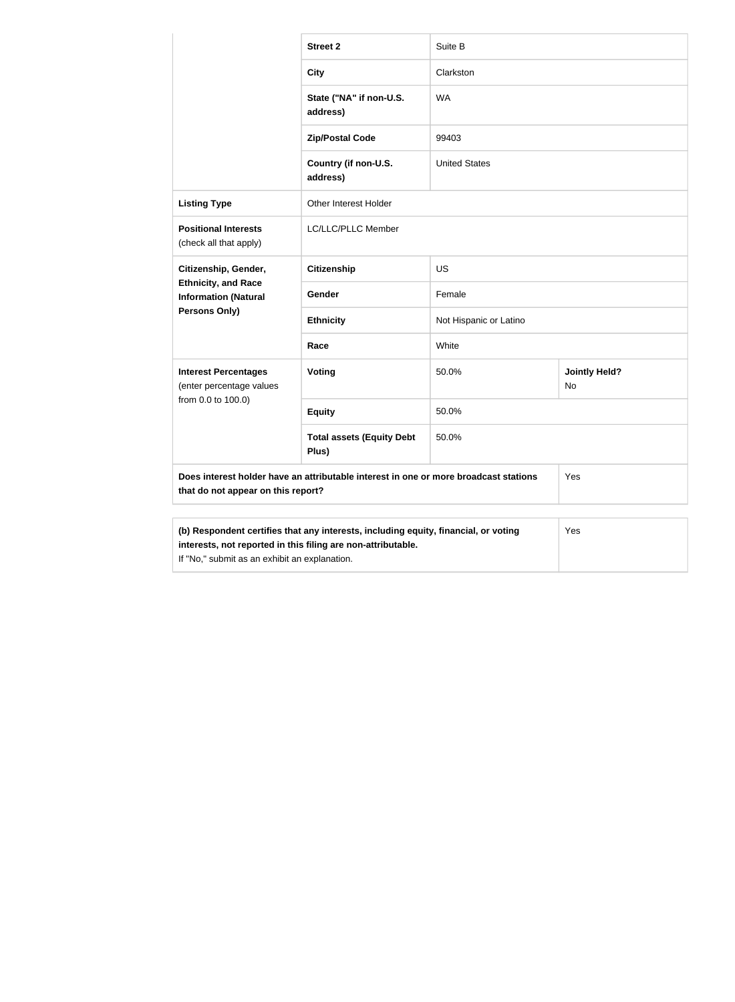|                                                                                                                                                                                                      | <b>Street 2</b>                           | Suite B                |                            |  |
|------------------------------------------------------------------------------------------------------------------------------------------------------------------------------------------------------|-------------------------------------------|------------------------|----------------------------|--|
|                                                                                                                                                                                                      | <b>City</b>                               | Clarkston              |                            |  |
|                                                                                                                                                                                                      | State ("NA" if non-U.S.<br>address)       | <b>WA</b>              |                            |  |
|                                                                                                                                                                                                      | <b>Zip/Postal Code</b>                    | 99403                  |                            |  |
|                                                                                                                                                                                                      | Country (if non-U.S.<br>address)          | <b>United States</b>   |                            |  |
| <b>Listing Type</b>                                                                                                                                                                                  | Other Interest Holder                     |                        |                            |  |
| <b>Positional Interests</b><br>(check all that apply)                                                                                                                                                | LC/LLC/PLLC Member                        |                        |                            |  |
| Citizenship, Gender,<br><b>Ethnicity, and Race</b><br><b>Information (Natural</b>                                                                                                                    | <b>Citizenship</b>                        | US                     |                            |  |
|                                                                                                                                                                                                      | Gender                                    | Female                 |                            |  |
| <b>Persons Only)</b>                                                                                                                                                                                 | <b>Ethnicity</b>                          | Not Hispanic or Latino |                            |  |
|                                                                                                                                                                                                      | Race                                      | White                  |                            |  |
| <b>Interest Percentages</b><br>(enter percentage values                                                                                                                                              | Voting                                    | 50.0%                  | <b>Jointly Held?</b><br>No |  |
| from 0.0 to 100.0)                                                                                                                                                                                   | <b>Equity</b>                             | 50.0%                  |                            |  |
|                                                                                                                                                                                                      | <b>Total assets (Equity Debt</b><br>Plus) | 50.0%                  |                            |  |
| Does interest holder have an attributable interest in one or more broadcast stations<br>that do not appear on this report?                                                                           |                                           |                        | Yes                        |  |
|                                                                                                                                                                                                      |                                           |                        |                            |  |
| (b) Respondent certifies that any interests, including equity, financial, or voting<br>interests, not reported in this filing are non-attributable.<br>If "No," submit as an exhibit an explanation. |                                           |                        | Yes                        |  |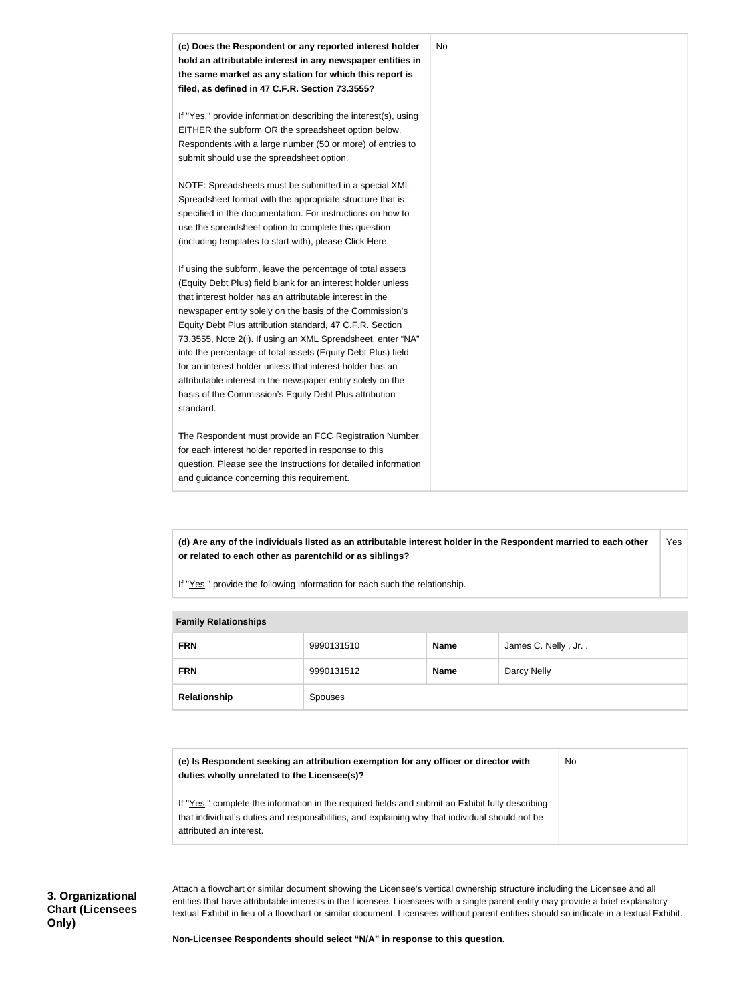

**(d) Are any of the individuals listed as an attributable interest holder in the Respondent married to each other or related to each other as parentchild or as siblings?** Yes

If "Yes," provide the following information for each such the relationship.

| <b>Fallilly INGIALIVIISHIPS</b> |            |             |                    |
|---------------------------------|------------|-------------|--------------------|
| <b>FRN</b>                      | 9990131510 | <b>Name</b> | James C. Nelly, Jr |
| <b>FRN</b>                      | 9990131512 | <b>Name</b> | Darcy Nelly        |
| Relationship                    | Spouses    |             |                    |

No

# **Family Relationships**

**(e) Is Respondent seeking an attribution exemption for any officer or director with duties wholly unrelated to the Licensee(s)?**

If "Yes," complete the information in the required fields and submit an Exhibit fully describing that individual's duties and responsibilities, and explaining why that individual should not be attributed an interest.

Attach a flowchart or similar document showing the Licensee's vertical ownership structure including the Licensee and all entities that have attributable interests in the Licensee. Licensees with a single parent entity may provide a brief explanatory textual Exhibit in lieu of a flowchart or similar document. Licensees without parent entities should so indicate in a textual Exhibit.

**Non-Licensee Respondents should select "N/A" in response to this question.**